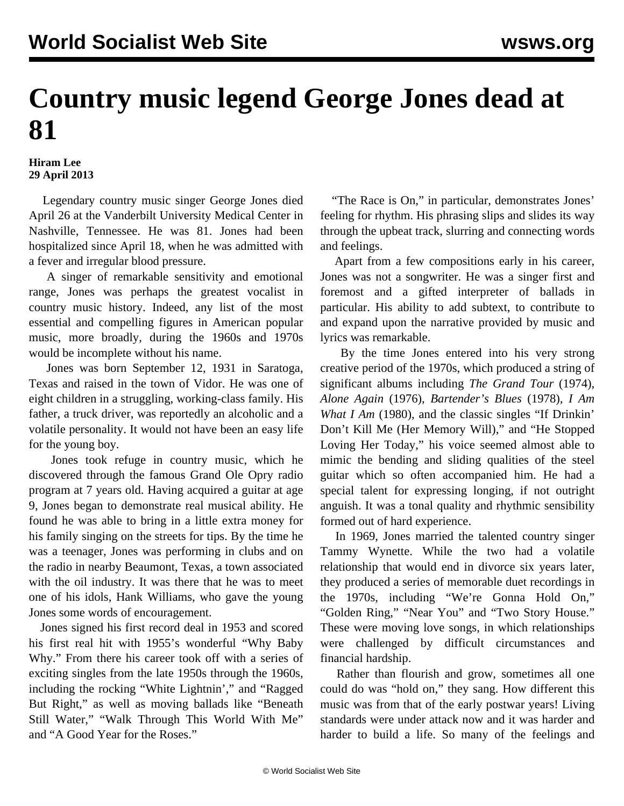## **Country music legend George Jones dead at 81**

## **Hiram Lee 29 April 2013**

 Legendary country music singer George Jones died April 26 at the Vanderbilt University Medical Center in Nashville, Tennessee. He was 81. Jones had been hospitalized since April 18, when he was admitted with a fever and irregular blood pressure.

 A singer of remarkable sensitivity and emotional range, Jones was perhaps the greatest vocalist in country music history. Indeed, any list of the most essential and compelling figures in American popular music, more broadly, during the 1960s and 1970s would be incomplete without his name.

 Jones was born September 12, 1931 in Saratoga, Texas and raised in the town of Vidor. He was one of eight children in a struggling, working-class family. His father, a truck driver, was reportedly an alcoholic and a volatile personality. It would not have been an easy life for the young boy.

 Jones took refuge in country music, which he discovered through the famous Grand Ole Opry radio program at 7 years old. Having acquired a guitar at age 9, Jones began to demonstrate real musical ability. He found he was able to bring in a little extra money for his family singing on the streets for tips. By the time he was a teenager, Jones was performing in clubs and on the radio in nearby Beaumont, Texas, a town associated with the oil industry. It was there that he was to meet one of his idols, Hank Williams, who gave the young Jones some words of encouragement.

 Jones signed his first record deal in 1953 and scored his first real hit with 1955's wonderful "Why Baby Why." From there his career took off with a series of exciting singles from the late 1950s through the 1960s, including the rocking "White Lightnin'," and "Ragged But Right," as well as moving ballads like "Beneath Still Water," "Walk Through This World With Me" and "A Good Year for the Roses."

 "The Race is On," in particular, demonstrates Jones' feeling for rhythm. His phrasing slips and slides its way through the upbeat track, slurring and connecting words and feelings.

 Apart from a few compositions early in his career, Jones was not a songwriter. He was a singer first and foremost and a gifted interpreter of ballads in particular. His ability to add subtext, to contribute to and expand upon the narrative provided by music and lyrics was remarkable.

 By the time Jones entered into his very strong creative period of the 1970s, which produced a string of significant albums including *The Grand Tour* (1974), *Alone Again* (1976), *Bartender's Blues* (1978)*, I Am What I Am* (1980), and the classic singles "If Drinkin' Don't Kill Me (Her Memory Will)," and "He Stopped Loving Her Today," his voice seemed almost able to mimic the bending and sliding qualities of the steel guitar which so often accompanied him. He had a special talent for expressing longing, if not outright anguish. It was a tonal quality and rhythmic sensibility formed out of hard experience.

 In 1969, Jones married the talented country singer Tammy Wynette. While the two had a volatile relationship that would end in divorce six years later, they produced a series of memorable duet recordings in the 1970s, including "We're Gonna Hold On," "Golden Ring," "Near You" and "Two Story House." These were moving love songs, in which relationships were challenged by difficult circumstances and financial hardship.

 Rather than flourish and grow, sometimes all one could do was "hold on," they sang. How different this music was from that of the early postwar years! Living standards were under attack now and it was harder and harder to build a life. So many of the feelings and